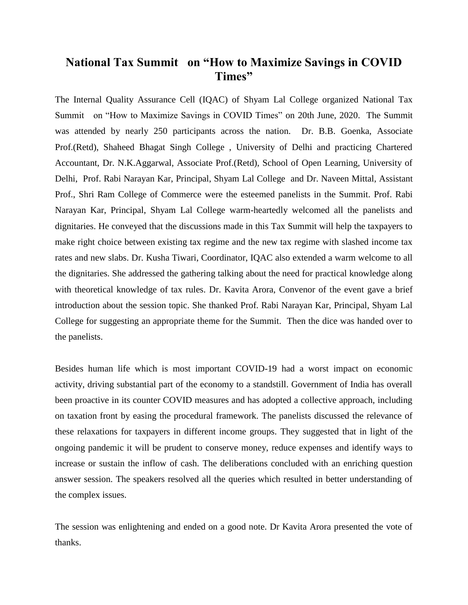## **National Tax Summit on "How to Maximize Savings in COVID Times"**

The Internal Quality Assurance Cell (IQAC) of Shyam Lal College organized National Tax Summit on "How to Maximize Savings in COVID Times" on 20th June, 2020. The Summit was attended by nearly 250 participants across the nation. Dr. B.B. Goenka, Associate Prof.(Retd), Shaheed Bhagat Singh College , University of Delhi and practicing Chartered Accountant, Dr. N.K.Aggarwal, Associate Prof.(Retd), School of Open Learning, University of Delhi, Prof. Rabi Narayan Kar, Principal, Shyam Lal College and Dr. Naveen Mittal, Assistant Prof., Shri Ram College of Commerce were the esteemed panelists in the Summit. Prof. Rabi Narayan Kar, Principal, Shyam Lal College warm-heartedly welcomed all the panelists and dignitaries. He conveyed that the discussions made in this Tax Summit will help the taxpayers to make right choice between existing tax regime and the new tax regime with slashed income tax rates and new slabs. Dr. Kusha Tiwari, Coordinator, IQAC also extended a warm welcome to all the dignitaries. She addressed the gathering talking about the need for practical knowledge along with theoretical knowledge of tax rules. Dr. Kavita Arora, Convenor of the event gave a brief introduction about the session topic. She thanked Prof. Rabi Narayan Kar, Principal, Shyam Lal College for suggesting an appropriate theme for the Summit. Then the dice was handed over to the panelists.

Besides human life which is most important COVID-19 had a worst impact on economic activity, driving substantial part of the economy to a standstill. Government of India has overall been proactive in its counter COVID measures and has adopted a collective approach, including on taxation front by easing the procedural framework. The panelists discussed the relevance of these relaxations for taxpayers in different income groups. They suggested that in light of the ongoing pandemic it will be prudent to conserve money, reduce expenses and identify ways to increase or sustain the inflow of cash. The deliberations concluded with an enriching question answer session. The speakers resolved all the queries which resulted in better understanding of the complex issues.

The session was enlightening and ended on a good note. Dr Kavita Arora presented the vote of thanks.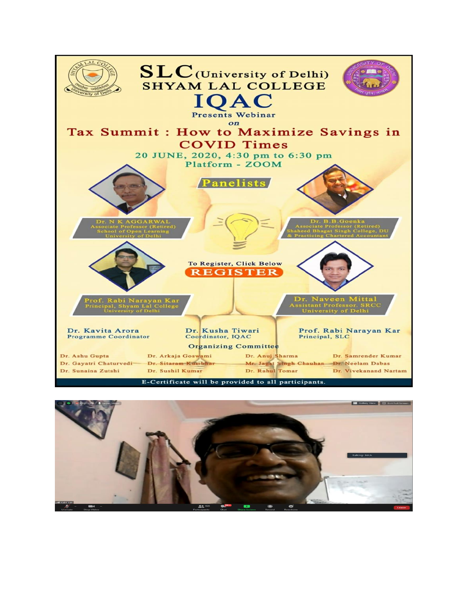

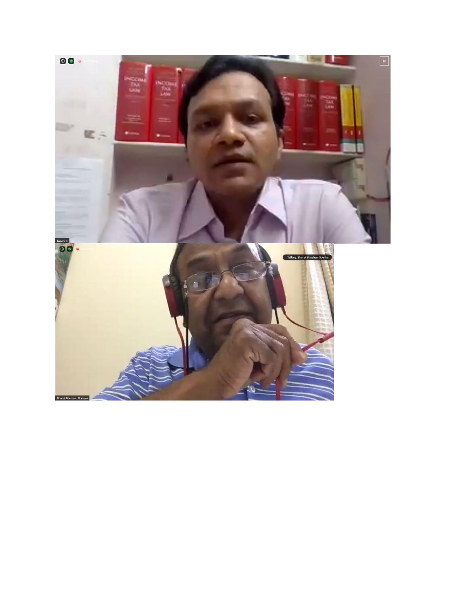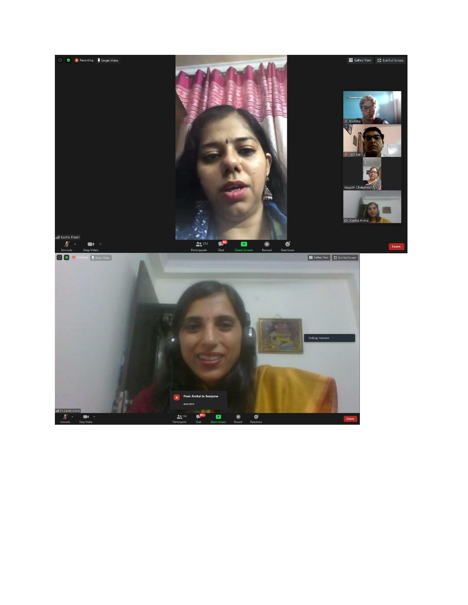